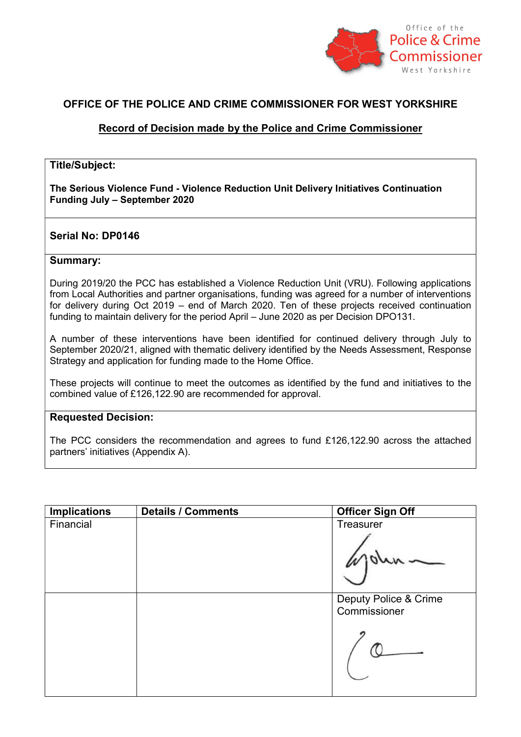

# OFFICE OF THE POLICE AND CRIME COMMISSIONER FOR WEST YORKSHIRE

## Record of Decision made by the Police and Crime Commissioner

### Title/Subject:

The Serious Violence Fund - Violence Reduction Unit Delivery Initiatives Continuation Funding July – September 2020

## Serial No: DP0146

#### Summary:

During 2019/20 the PCC has established a Violence Reduction Unit (VRU). Following applications from Local Authorities and partner organisations, funding was agreed for a number of interventions for delivery during Oct 2019 – end of March 2020. Ten of these projects received continuation funding to maintain delivery for the period April – June 2020 as per Decision DPO131.

A number of these interventions have been identified for continued delivery through July to September 2020/21, aligned with thematic delivery identified by the Needs Assessment, Response Strategy and application for funding made to the Home Office.

These projects will continue to meet the outcomes as identified by the fund and initiatives to the combined value of £126,122.90 are recommended for approval.

## Requested Decision:

The PCC considers the recommendation and agrees to fund £126,122.90 across the attached partners' initiatives (Appendix A).

| <b>Officer Sign Off</b>               |  |
|---------------------------------------|--|
| Treasurer                             |  |
| Deputy Police & Crime<br>Commissioner |  |
|                                       |  |